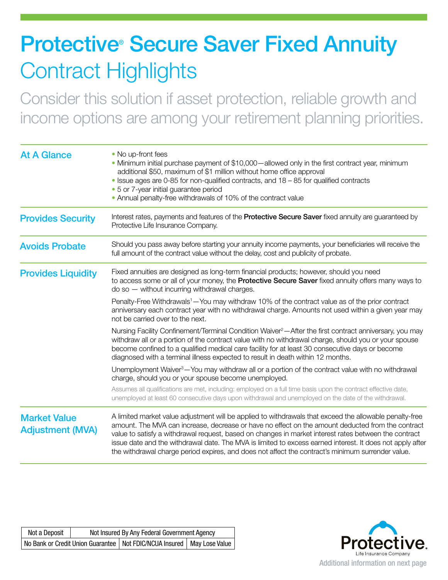## **Protective<sup>®</sup> Secure Saver Fixed Annuity** Contract Highlights

Consider this solution if asset protection, reliable growth and income options are among your retirement planning priorities.

| <b>At A Glance</b>                             | • No up-front fees<br>• Minimum initial purchase payment of \$10,000 - allowed only in the first contract year, minimum<br>additional \$50, maximum of \$1 million without home office approval<br>• Issue ages are 0-85 for non-qualified contracts, and 18 - 85 for qualified contracts<br>• 5 or 7-year initial guarantee period<br>• Annual penalty-free withdrawals of 10% of the contract value                                                                                                                                   |  |  |
|------------------------------------------------|-----------------------------------------------------------------------------------------------------------------------------------------------------------------------------------------------------------------------------------------------------------------------------------------------------------------------------------------------------------------------------------------------------------------------------------------------------------------------------------------------------------------------------------------|--|--|
| <b>Provides Security</b>                       | Interest rates, payments and features of the <b>Protective Secure Saver</b> fixed annuity are guaranteed by<br>Protective Life Insurance Company.                                                                                                                                                                                                                                                                                                                                                                                       |  |  |
| <b>Avoids Probate</b>                          | Should you pass away before starting your annuity income payments, your beneficiaries will receive the<br>full amount of the contract value without the delay, cost and publicity of probate.                                                                                                                                                                                                                                                                                                                                           |  |  |
| <b>Provides Liquidity</b>                      | Fixed annuities are designed as long-term financial products; however, should you need<br>to access some or all of your money, the Protective Secure Saver fixed annuity offers many ways to<br>$do$ so $-$ without incurring withdrawal charges.                                                                                                                                                                                                                                                                                       |  |  |
|                                                | Penalty-Free Withdrawals <sup>1</sup> — You may withdraw 10% of the contract value as of the prior contract<br>anniversary each contract year with no withdrawal charge. Amounts not used within a given year may<br>not be carried over to the next.                                                                                                                                                                                                                                                                                   |  |  |
|                                                | Nursing Facility Confinement/Terminal Condition Waiver <sup>2</sup> —After the first contract anniversary, you may<br>withdraw all or a portion of the contract value with no withdrawal charge, should you or your spouse<br>become confined to a qualified medical care facility for at least 30 consecutive days or become<br>diagnosed with a terminal illness expected to result in death within 12 months.                                                                                                                        |  |  |
|                                                | Unemployment Waiver <sup>3</sup> — You may withdraw all or a portion of the contract value with no withdrawal<br>charge, should you or your spouse become unemployed.                                                                                                                                                                                                                                                                                                                                                                   |  |  |
|                                                | Assumes all qualifications are met, including: employed on a full time basis upon the contract effective date,<br>unemployed at least 60 consecutive days upon withdrawal and unemployed on the date of the withdrawal.                                                                                                                                                                                                                                                                                                                 |  |  |
| <b>Market Value</b><br><b>Adjustment (MVA)</b> | A limited market value adjustment will be applied to withdrawals that exceed the allowable penalty-free<br>amount. The MVA can increase, decrease or have no effect on the amount deducted from the contract<br>value to satisfy a withdrawal request, based on changes in market interest rates between the contract<br>issue date and the withdrawal date. The MVA is limited to excess earned interest. It does not apply after<br>the withdrawal charge period expires, and does not affect the contract's minimum surrender value. |  |  |